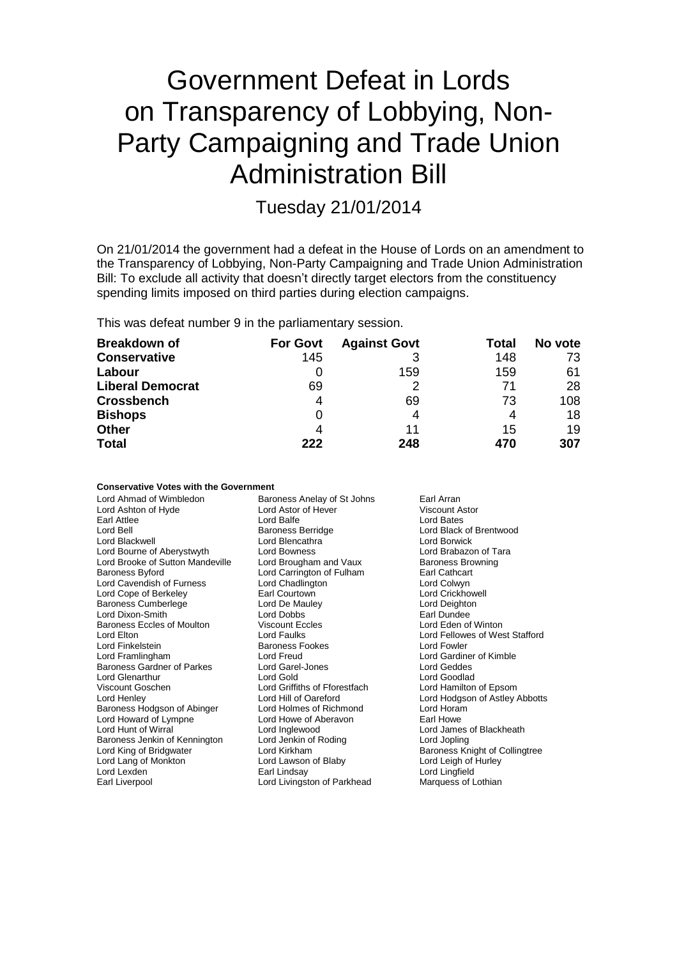# Government Defeat in Lords on Transparency of Lobbying, Non-Party Campaigning and Trade Union Administration Bill

Tuesday 21/01/2014

On 21/01/2014 the government had a defeat in the House of Lords on an amendment to the Transparency of Lobbying, Non-Party Campaigning and Trade Union Administration Bill: To exclude all activity that doesn't directly target electors from the constituency spending limits imposed on third parties during election campaigns.

This was defeat number 9 in the parliamentary session.

**Conservative Votes with the Government**

| <b>Breakdown of</b>     | <b>For Govt</b> | <b>Against Govt</b> | Total | No vote |
|-------------------------|-----------------|---------------------|-------|---------|
| <b>Conservative</b>     | 145             |                     | 148   | 73      |
| Labour                  | O               | 159                 | 159   | 61      |
| <b>Liberal Democrat</b> | 69              |                     | 71    | 28      |
| <b>Crossbench</b>       | 4               | 69                  | 73    | 108     |
| <b>Bishops</b>          | 0               |                     |       | 18      |
| <b>Other</b>            | 4               | 11                  | 15    | 19      |
| <b>Total</b>            | フフフ             | 248                 | 470   | 307     |

| Conservative votes with the Government |                               |                                |
|----------------------------------------|-------------------------------|--------------------------------|
| Lord Ahmad of Wimbledon                | Baroness Anelay of St Johns   | Earl Arran                     |
| Lord Ashton of Hyde                    | Lord Astor of Hever           | Viscount Astor                 |
| Earl Attlee                            | Lord Balfe                    | Lord Bates                     |
| Lord Bell                              | <b>Baroness Berridge</b>      | Lord Black of Brentwood        |
| Lord Blackwell                         | Lord Blencathra               | Lord Borwick                   |
| Lord Bourne of Aberystwyth             | Lord Bowness                  | Lord Brabazon of Tara          |
| Lord Brooke of Sutton Mandeville       | Lord Brougham and Vaux        | <b>Baroness Browning</b>       |
| <b>Baroness Byford</b>                 | Lord Carrington of Fulham     | Earl Cathcart                  |
| Lord Cavendish of Furness              | Lord Chadlington              | Lord Colwyn                    |
| Lord Cope of Berkeley                  | Earl Courtown                 | <b>Lord Crickhowell</b>        |
| <b>Baroness Cumberlege</b>             | Lord De Mauley                | Lord Deighton                  |
| Lord Dixon-Smith                       | Lord Dobbs                    | Earl Dundee                    |
| Baroness Eccles of Moulton             | <b>Viscount Eccles</b>        | Lord Eden of Winton            |
| Lord Elton                             | Lord Faulks                   | Lord Fellowes of West Stafford |
| Lord Finkelstein                       | <b>Baroness Fookes</b>        | Lord Fowler                    |
| Lord Framlingham                       | Lord Freud                    | Lord Gardiner of Kimble        |
| Baroness Gardner of Parkes             | Lord Garel-Jones              | <b>Lord Geddes</b>             |
| <b>Lord Glenarthur</b>                 | Lord Gold                     | Lord Goodlad                   |
| Viscount Goschen                       | Lord Griffiths of Fforestfach | Lord Hamilton of Epsom         |
| Lord Henley                            | Lord Hill of Oareford         | Lord Hodgson of Astley Abbotts |
| Baroness Hodgson of Abinger            | Lord Holmes of Richmond       | Lord Horam                     |
| Lord Howard of Lympne                  | Lord Howe of Aberavon         | Earl Howe                      |
| Lord Hunt of Wirral                    | Lord Inglewood                | Lord James of Blackheath       |
| Baroness Jenkin of Kennington          | Lord Jenkin of Roding         | Lord Jopling                   |
| Lord King of Bridgwater                | Lord Kirkham                  | Baroness Knight of Collingtree |
| Lord Lang of Monkton                   | Lord Lawson of Blaby          | Lord Leigh of Hurley           |
| Lord Lexden                            | Earl Lindsay                  | Lord Lingfield                 |
| Earl Liverpool                         | Lord Livingston of Parkhead   | Marquess of Lothian            |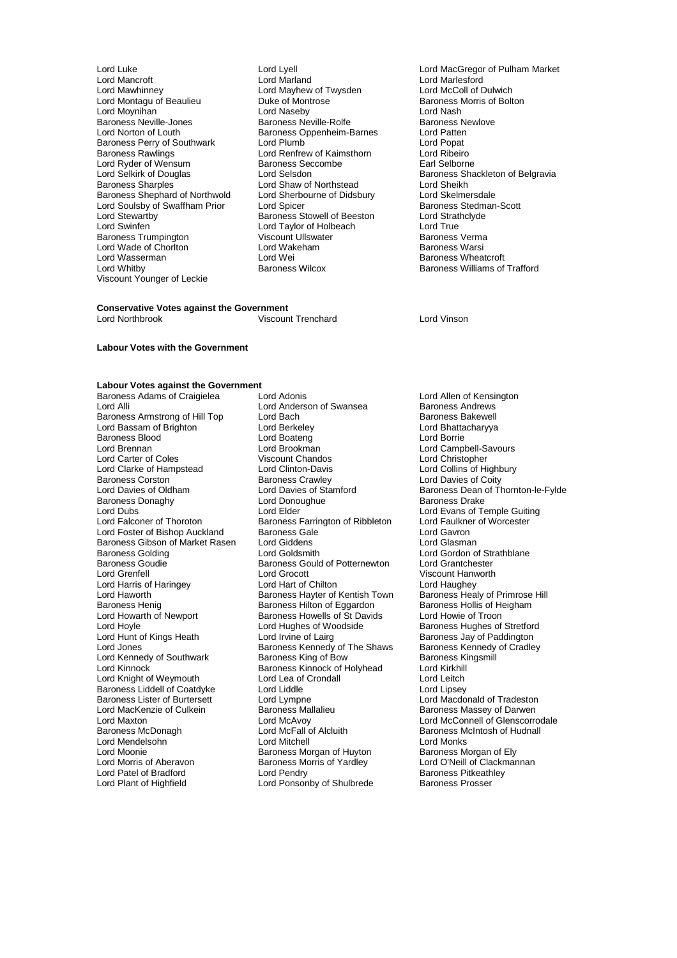Lord Mawhinney Lord Mayhew of Twysden Lord McColl of Dulwich Lord Montagu of Beaulieu Duke of Montrose Baroness Morris of Bolton Lord Moynihan **Lord Lord Alaseby** Lord Device Cord Nash<br>
Baroness Neville-Jones **Corress Learness Neville-Rolfe Corress Learness Newlove** Baroness Neville-Jones **Baroness Neville-Rolfe** Baroness Neville-Rolfe Baroness Newlove<br>
Baroness Oppenheim-Barnes Lord Patten Baroness Perry of Southwark Lord Plumb<br>
Lord Renfrew of Kaimsthorn Lord Ribeiro<br>
Lord Ribeiro Lord Ryder of Wensum<br>
Lord Selkirk of Douglas<br>
Lord Selsdon Baroness Shephard of Northwold Lord Sherbourne of Didsbury Lord Skelmersdale<br>
Lord Soulsby of Swaffham Prior Lord Spicer Lord Stelman-Scott Lord Soulsby of Swaffham Prior Lord Spicer Corp Corp Baroness Stedman Lord Stedman Lord Strathclyde Baroness Stedman<br>Lord Strathclyde Baroness Stowell of Beeston Lord Strathclyde Lord Stewartby **Baroness Stowell of Beeston** Lord Strathcland Strathcland Baroness Stowell of Beeston Lord Strat<br>Cord True Lord Taylor of Holbeach Lord True Baroness Trumpington Viscount Ullswater Baroness Verma Lord Wade of Chorlton **Lord Warsham Baroness Warsham Baroness War**<br>Lord Wasserman Baroness Warsham Baroness Warsham Baroness Warsham Baroness Warsham Baroness Warsham Baroness W<br>Lord Warsham Baroness Warsham Baroness Warsh Lord Wasserman Lord Wei **Communist Communist Communist Communist Communist Communist Communist Communist Communist Communist Communist Communist Communist Communist Communist Communist Communist Communist Communist Communi** Viscount Younger of Leckie

Lord Luke Lord Lyell Lord MacGregor of Pulham Market Lord Marland<br>
Lord Mayhew of Twysden<br>
Lord McColl of Dulwich Baroness Oppenheim-Barnes Lord Patten<br>
Lord Plumb Lord Popat Lord Renfrew of Kaimsthorn Lord Ribeiro<br>Baroness Seccombe Larl Selborne Lord Shaw of Northstead **Lord Sheikh**<br>Lord Sherbourne of Didsbury **Lord Skelmersdale** Lord Taylor of Holbeach<br>
Viscount Ullswater Controller Baroness Verma

# **Conservative Votes against the Government**<br>Lord Northbrook **Wiscoun**

Viscount Trenchard Lord Vinson

Lord Selkirk of Douglas Lord Selsdon<br>
Baroness Shackleton of Belgravia<br>
Baroness Sharples<br>
Lord Shaw of Northstead<br>
Lord Sheikh Baroness Williams of Trafford

### **Labour Votes with the Government**

# **Labour Votes against the Government**

Baroness Armstrong of Hill Top Lord Bach Bach Baroness Bakewell<br>
Lord Bassam of Brighton Lord Berkeley Baroness Bakewell<br>
Lord Bassam of Brighton Baroness Lord Berkeley Lord Bassam of Brighton Lord Berkeley **Lord Bhatta**<br>
Lord Baroness Blood **Lord Boxteng** Lord Borne Lord Borne Baroness Blood <sup>C</sup> Exercise Cord Boateng Lord Brennan<br>
Lord Brennan Cord Cord Brookman Lord Carter of Coles<br>
Lord Clarke of Hampstead<br>
Lord Clinton-Davis
Lord Collins of Highbury Lord Clarke of Hampstead Lord Clinton-Davis<br>
Baroness Corston Baroness Crawley Baroness Corston **Baroness Crawley Lord Davies of Coity**<br>
Lord Davies of Oldham Lord Davies of Stamford Baroness Dean of The Baroness Donaghy Lord Donoughue Baroness Donaghy<br>
Lord Dubs<br>
Lord Elder Lord Dubs<br>
Lord Exans of Temple Guiting<br>
Lord Ealconer of Thoroton Baroness Farrington of Ribbleton Lord Faulkner of Worcester Lord Foster of Bishop Auckland Baroness Gale Corresponding Lord Gavron<br>Baroness Gibson of Market Rasen Lord Giddens Corresponding Lord Glasman Baroness Gibson of Market Rasen Lord Giddens<br>Baroness Golding Lord Goldsmith Baroness Golding **Lord Coldsmith** Lord Gordon of Strathblane<br>Baroness Goulde **Baroness Gould of Potternewton** Lord Grantchester Lord Grenfell **Call Contains Lord Grocott** Communist Container and Container Container Container Container Contain<br>
Lord Hand Lord Hand Container Lord Hand Container Lord Haughey Lord Harris of Haringey **Lord Hart of Chilton** Lord Haughey Lord Haughey<br>Lord Haworth Lord Hauworth Chilton Baroness Havter of Kentish Town Baroness Healy of Primrose Hill Lord Haworth **Baroness Hayter of Kentish Town** Baroness Healy of Primrose<br>Baroness Henig Baroness Hillton of Eggardon Baroness Hollis of Heigham Baroness Henig<br>Baroness Henig Baroness Hilton of Eggardon Baroness Hollis of He<br>Lord Howarth of Newport Baroness Howells of St Davids Lord Howie of Troon Lord Howarth of Newport Baroness Howells of St Davids<br>Lord Hoyle Cord Hughes of Woodside Lord Hoyle **Lord Hughes of Woodside** Baroness Hughes of Stretford<br>
Lord Hughes of Lairg
Lord Lord Lord Irvine of Lairg
Lord
Baroness Jay of Paddington Lord Jones **Baroness Kennedy of The Shaws** Baroness Kennedy Lord Kennedy of Coradian Baroness Kennedy Lord Kennedy Cradley Cradley Baroness Kingsmill Lord Kennedy of Southwark Baroness King of Bow Baroness Kingsmill Baroness Kingsmill Baroness Kinnock of Holyhead Lord Kirkhill Lord Knight of Weymouth Lord Lea of Crondall Lord Leitch<br>
Baroness Liddell of Coatdyke Lord Liddle Lord Linsey Baroness Liddell of Coatdyke Lord Liddle<br>
Baroness Lister of Burtersett Lord Lympne Baroness Lister of Burtersett Lord Lympne Lord Necdonald of Tradeston<br>
Lord MacKenzie of Culkein Baroness Mallalieu Baroness Massev of Darwen Lord MacKenzie of Culkein Franchess Mallalieu<br>
Lord MacKenzie of Culkein Baroness Mallalieu<br>
Lord MacConnell of Glenscorro Lord Mendelsohn Lord Mitchell Lord Monks Lord Moonie<br>
Lord Moonie Communication Baroness Morgan of Huyton<br>
Lord Morris of Aberavon Baroness Morris of Yardley Lord O'Neill of Clackmannan Lord Patel of Bradford **Lord Pendry** Cord Pendry **Baroness Pitkeath**<br>
Lord Plant of Highfield **Baroness Prosser**<br>
Lord Ponsonby of Shulbrede **Baroness Prosser** 

Baroness Adams of Craigielea Lord Adonis<br>
Lord Allen of Kensington<br>
Lord Anderson of Swansea Baroness Andrews Lord Anderson of Swansea Baroness Andrews<br>
Lord Bach Baroness Bakewell Lord Brookman Lord Campbell-Savours<br>
Viscount Chandos Lord Christopher Lord Farrington of Ribbleton Lord Faulkne<br>Baroness Gale **Baroness** Cale Lord Gavron Baroness Gould of Potternewton Baroness Kinnock of Holyhead Lord Kirkhill<br>
Lord Lea of Crondall Lord Leitch Lord McFall of Alcluith Baroness McIntosh of Hudnall<br>
Lord Mitchell Cord Monks Baroness Morris of Yardley Lord O'Neill of Clackr<br>Lord Pendry Corress Pitkeathley Lord Ponsonby of Shulbrede

Lord Davies of Stamford<br>
Lord Donoughue Baroness Drake<br>
Baroness Drake Baroness Jay of Paddington<br>Baroness Kennedy of Cradley Lord Maxton Lord McAvoy Lord McAvoy Lord Clenscorrodale<br>Baroness McDonagh Cord McFall of Alcluith Charless McIntosh of Hudnall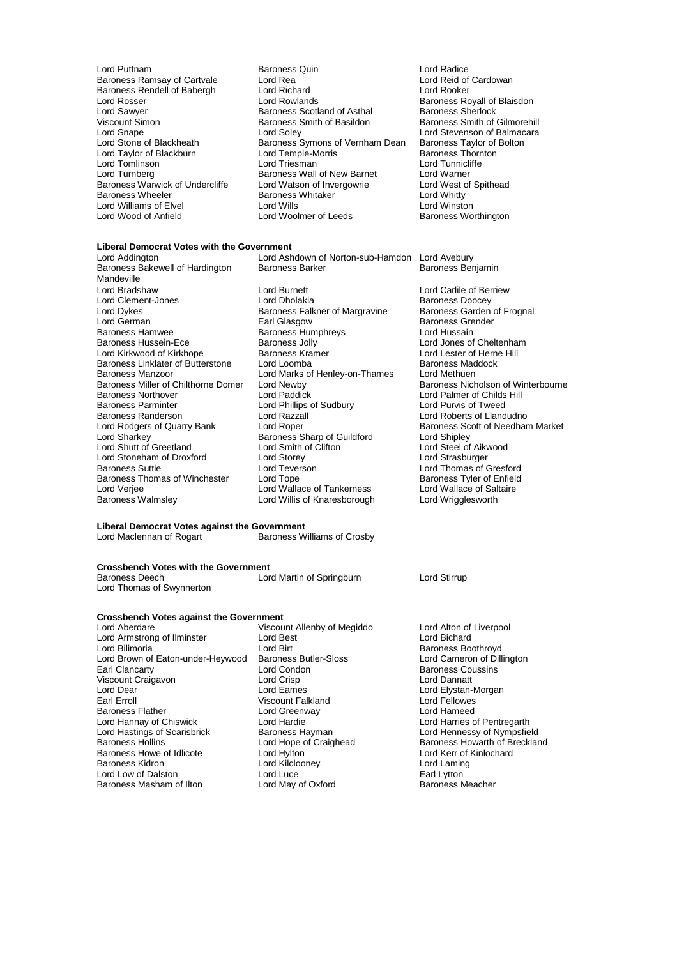- Baroness Rendell of Babergh Lord Richard<br>Lord Rosser Lord Rowlands Lord Sawyer **Baroness Scotland of Asthal Baroness Scotland of Asthal Baroness Scotland of Asthal Baroness Sherlock**<br>The Baroness Smith of Basildon Lord Taylor of Blackburn Lord Temple-Morris Lord Temple-Morris Lord Temple-Morris Thorntonness Thorntonness Thorntonness Thorntonness Thorntonness Thorntonness Thorntonness Thorntonness Thorntonness Thorntonness Thorntonne Lord Williams of Elvel **Lord Wills**<br>
Lord Wood of Anfield **Lord Woolmer** of Leeds
- Lord Puttnam **Baroness Quin**<br>
Baroness Ramsay of Cartvale **Baroness Quin** Lord Reid of Cardowan Baroness Ramsay of Cartvale Lord Rea Lord Rea Lord Reid of Cartvale Lord Reid of Cartvale Lord Rooker Lord Rosser Lord Rowlands **Baroness Royall of Blaisdon**<br>
Lord Sawyer **Baroness Scotland of Asthal**Baroness Sherlock
Baroness Scotland of Asthal
Baroness Sherlock Viscount Simon **Baroness Smith of Basildon** Baroness Smith of Gilmorehill<br>
Lord Snape **Baroness Smith of Basildon**<br>
Lord Stevenson of Balmacara Lord Snape Lord Soley Lord Soley Lord Stevenson of Balmacara<br>
Lord Stevenson of Blackheath Baroness Symons of Vernham Dean Baroness Taylor of Bolton Exaroness Symons of Vernham Dean Baroness Taylor of Lord Temple-Morris Baroness Thornton Lord Tomlinson Lord Triesman Lord Tunnicliffe Exaroness Wall of New Barnet Lord Warner<br>
Lord Watson of Invergowrie Lord West of Spithead Baroness Warwick of Undercliffe Lord Watson of Invergowrie Lord West of Lord West of Spithead Baroness Whitaker Lord Whitty Baroness Whitaker **Baroness Whitaker Lord Whitty**<br>
Lord Wills **Lord Winston**

# **Liberal Democrat Votes with the Government**

Baroness Bakewell of Hardington Mandeville Lord Dykes Baroness Falkner of Margravine<br>
Earl Glasgow<br>
Earl Glasgow Baroness Hamwee Baroness Humphreys<br>Baroness Hussein-Ece Baroness Jolly Baroness Manzoor **Lord Marks of Henley-on-Thames**<br>Baroness Miller of Chilthorne Domer Lord Newby Baroness Northover **Lord Paddick** Lord Paddick Lord Palmer of Childs Hill<br>
Baroness Parminter **Lord Pullips of Sudbury** Lord Purvis of Tweed Baroness Parminter **Lord Phillips of Sudbury**<br>Baroness Randerson **Lord Razzall** Baroness Randerson Lord Razzall Lord Roberts of Llandudno Lord Shutt of Greetland Lord Smith of Clifton Lord Steel of Aikwood Lord Stoneham of Droxford Lord Storey<br>
Baroness Suttie 
Lord Teverson Baroness Thomas of Winchester Lord Tope **Baroness Tyler of Enfield**<br>Lord Veriee Lord Wallace of Tankerness Lord Wallace of Saltaire Lord Verjee Lord Wallace of Tankerness Lord Wallace of Saltaire Corp.<br>
Lord Willis of Knaresborough Lord Wrigglesworth

Lord Bradshaw Lord Burnett Lord Carlile of Berriew Lord Clement-Jones **Lord Dholakia** Lord Dholakia **Baroness Doocey**<br>
Baroness Carl Baroness Falkner of Margravine Baroness Garden of Frognal Lord German Earl Glasgow Baroness Grender Baroness Jolly **Communist Communist Communist Communist Communist Communist Communist Communist Communist Communist Communist Communist Communist Communist Communist Communist Communist Communist Communist Communist Commun** Lord Kirkwood of Kirkhope **Baroness Kramer** Baroness Kramer Lord Lester of Herne Baroness Lord Lester of Herne H<br>Baroness Linklater of Butterstone Lord Loomba Baroness Linklater of Butterstone Lord Loomba<br>Baroness Manzoor Core Lord Marks of Henley-on-Thames Lord Methuen

Baroness Sharp of Guildford<br>
Lord Smith of Clifton<br>
Lord Steel of Aikwood Example of Thomas Sutties Creative Corresponding to Lord Thomas of Gresford<br>
Baroness Tyler of Enfield Lord Willis of Knaresborough

Baroness Worthington

Lord Ashdown of Norton-sub-Hamdon Lord Avebury<br>Baroness Barker Baroness Benjamin

Baroness Miller of Chilthorne Domer Lord Newby Baroness Nicholson of Winterbourne<br>Baroness Northover Lord Paddick Lord Palmer of Childs Hill Lord Rodgers of Quarry Bank Lord Roper Cuildford Baroness Scott of Needham Market<br>
Lord Sharkey Baroness Sharp of Guildford Lord Shipley

# **Liberal Democrat Votes against the Government**

Baroness Williams of Crosby

### **Crossbench Votes with the Government**

| Baroness Deech            | Lord Martin of Springburn |
|---------------------------|---------------------------|
| Lord Thomas of Swynnerton |                           |

# **Crossbench Votes against the Government**<br>Lord Aberdare Viscour

Lord Armstrong of Ilminster Lord Best Lord Bichard Lord Brown of Eaton-under-Heywood Baroness But<br>Earl Clancarty Lord Condon Viscount Craigavon Lord Crisp<br>
Lord Dear Lord Eames Lord Dear Lord Eames Lord Eames Lord Extension Lord Elystan-Morgan Lord Elystan-Morgan Lord Elystan-Morgan Lord Extending Lord Extending Lord Eames Lord Eames Lord Eames Lord Eames Lord Elystan-Morgan Lord Eames Lord Eames Baroness Flather Lord Greenway Lord Hameed Lord Hastings of Scarisbrick Baroness Hayman<br>Baroness Hollins Maroness Hayman Lord Hope of Craighead Baroness Howe of Idlicote Lord Hylton Lord Corresponding Lord Kerr of Idlicote Lord Kerr of Idlicote Lord Kinlochard Lord Kinlochard Lord Kinlochard Lord Kinlochard Lord Kinlochard Lord Laming Baroness Kidron Lord Kilclooney Lord Laming Lord Lord Luce Lord Luce Earl Lytton Carl Lord Luce Earl Lytton Earl Lytton Lord May of Oxford Carl Baroness Meacher Baroness Masham of Ilton

Viscount Allenby of Megiddo Lord Alton of Liverpool **Earl Condon Baroness Coussins<br>
Earl Crisp Condon Baroness Coussins**<br> **Early Condon Lord Dannatt** Viscount Falkland

#### Lord Stirrup

Lord Birt<br>
Baroness Butler-Sloss
Butler Baroness Boothroyd<br>
Lord Cameron of Dillington Lord Harries of Pentregarth<br>
Baroness Hayman 
Baroness Hayman

Lord Hennessy of Nympsfield Lord Hope of Craighead Baroness Howarth of Breckland<br>
Lord Hylton Lord Kerr of Kinlochard